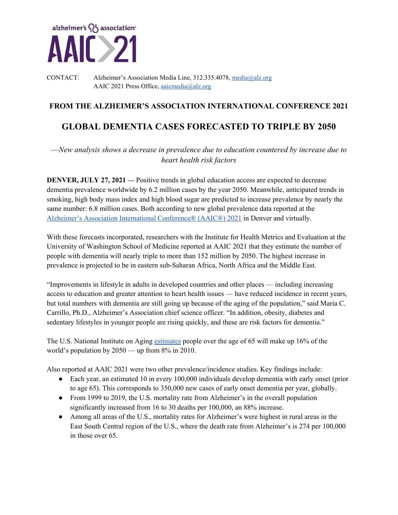

CONTACT: Alzheimer's Association Media Line, 312.335.4078, media@alz.org AAIC 2021 Press Office, aaicmedia@alz.org

# **FROM THE ALZHEIMER'S ASSOCIATION INTERNATIONAL CONFERENCE 2021**

# **GLOBAL DEMENTIA CASES FORECASTED TO TRIPLE BY 2050**

—*New analysis shows a decrease in prevalence due to education countered by increase due to heart health risk factors* 

**DENVER, JULY 27, 2021** — Positive trends in global education access are expected to decrease dementia prevalence worldwide by 6.2 million cases by the year 2050. Meanwhile, anticipated trends in smoking, high body mass index and high blood sugar are predicted to increase prevalence by nearly the same number: 6.8 million cases. Both according to new global prevalence data reported at the Alzheimer's Association International Conference® (AAIC®) 2021 in Denver and virtually.

With these forecasts incorporated, researchers with the Institute for Health Metrics and Evaluation at the University of Washington School of Medicine reported at AAIC 2021 that they estimate the number of people with dementia will nearly triple to more than 152 million by 2050. The highest increase in prevalence is projected to be in eastern sub-Saharan Africa, North Africa and the Middle East.

"Improvements in lifestyle in adults in developed countries and other places — including increasing access to education and greater attention to heart health issues — have reduced incidence in recent years, but total numbers with dementia are still going up because of the aging of the population," said Maria C. Carrillo, Ph.D., Alzheimer's Association chief science officer. "In addition, obesity, diabetes and sedentary lifestyles in younger people are rising quickly, and these are risk factors for dementia."

The U.S. National Institute on Aging estimates people over the age of 65 will make up 16% of the world's population by 2050 — up from 8% in 2010.

Also reported at AAIC 2021 were two other prevalence/incidence studies. Key findings include:

- Each year, an estimated 10 in every 100,000 individuals develop dementia with early onset (prior to age 65). This corresponds to 350,000 new cases of early onset dementia per year, globally.
- From 1999 to 2019, the U.S. mortality rate from Alzheimer's in the overall population significantly increased from 16 to 30 deaths per 100,000, an 88% increase.
- Among all areas of the U.S., mortality rates for Alzheimer's were highest in rural areas in the East South Central region of the U.S., where the death rate from Alzheimer's is 274 per 100,000 in those over 65.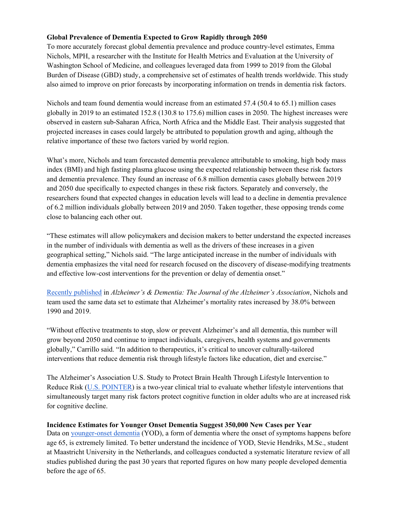# **Global Prevalence of Dementia Expected to Grow Rapidly through 2050**

To more accurately forecast global dementia prevalence and produce country-level estimates, Emma Nichols, MPH, a researcher with the Institute for Health Metrics and Evaluation at the University of Washington School of Medicine, and colleagues leveraged data from 1999 to 2019 from the Global Burden of Disease (GBD) study, a comprehensive set of estimates of health trends worldwide. This study also aimed to improve on prior forecasts by incorporating information on trends in dementia risk factors.

Nichols and team found dementia would increase from an estimated 57.4 (50.4 to 65.1) million cases globally in 2019 to an estimated 152.8 (130.8 to 175.6) million cases in 2050. The highest increases were observed in eastern sub-Saharan Africa, North Africa and the Middle East. Their analysis suggested that projected increases in cases could largely be attributed to population growth and aging, although the relative importance of these two factors varied by world region.

What's more, Nichols and team forecasted dementia prevalence attributable to smoking, high body mass index (BMI) and high fasting plasma glucose using the expected relationship between these risk factors and dementia prevalence. They found an increase of 6.8 million dementia cases globally between 2019 and 2050 due specifically to expected changes in these risk factors. Separately and conversely, the researchers found that expected changes in education levels will lead to a decline in dementia prevalence of 6.2 million individuals globally between 2019 and 2050. Taken together, these opposing trends come close to balancing each other out.

"These estimates will allow policymakers and decision makers to better understand the expected increases in the number of individuals with dementia as well as the drivers of these increases in a given geographical setting," Nichols said. "The large anticipated increase in the number of individuals with dementia emphasizes the vital need for research focused on the discovery of disease-modifying treatments and effective low-cost interventions for the prevention or delay of dementia onset."

Recently published in *Alzheimer's & Dementia: The Journal of the Alzheimer's Association*, Nichols and team used the same data set to estimate that Alzheimer's mortality rates increased by 38.0% between 1990 and 2019.

"Without effective treatments to stop, slow or prevent Alzheimer's and all dementia, this number will grow beyond 2050 and continue to impact individuals, caregivers, health systems and governments globally," Carrillo said. "In addition to therapeutics, it's critical to uncover culturally-tailored interventions that reduce dementia risk through lifestyle factors like education, diet and exercise."

The Alzheimer's Association U.S. Study to Protect Brain Health Through Lifestyle Intervention to Reduce Risk (U.S. POINTER) is a two-year clinical trial to evaluate whether lifestyle interventions that simultaneously target many risk factors protect cognitive function in older adults who are at increased risk for cognitive decline.

#### **Incidence Estimates for Younger Onset Dementia Suggest 350,000 New Cases per Year**

Data on younger-onset dementia (YOD), a form of dementia where the onset of symptoms happens before age 65, is extremely limited. To better understand the incidence of YOD, Stevie Hendriks, M.Sc., student at Maastricht University in the Netherlands, and colleagues conducted a systematic literature review of all studies published during the past 30 years that reported figures on how many people developed dementia before the age of 65.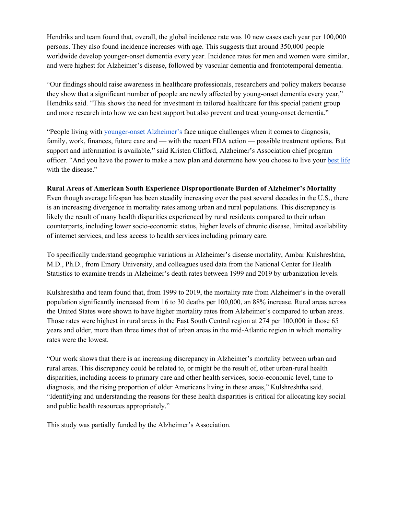Hendriks and team found that, overall, the global incidence rate was 10 new cases each year per 100,000 persons. They also found incidence increases with age. This suggests that around 350,000 people worldwide develop younger-onset dementia every year. Incidence rates for men and women were similar, and were highest for Alzheimer's disease, followed by vascular dementia and frontotemporal dementia.

"Our findings should raise awareness in healthcare professionals, researchers and policy makers because they show that a significant number of people are newly affected by young-onset dementia every year," Hendriks said. "This shows the need for investment in tailored healthcare for this special patient group and more research into how we can best support but also prevent and treat young-onset dementia."

"People living with younger-onset Alzheimer's face unique challenges when it comes to diagnosis, family, work, finances, future care and — with the recent FDA action — possible treatment options. But support and information is available," said Kristen Clifford, Alzheimer's Association chief program officer. "And you have the power to make a new plan and determine how you choose to live your best life with the disease."

## **Rural Areas of American South Experience Disproportionate Burden of Alzheimer's Mortality**

Even though average lifespan has been steadily increasing over the past several decades in the U.S., there is an increasing divergence in mortality rates among urban and rural populations. This discrepancy is likely the result of many health disparities experienced by rural residents compared to their urban counterparts, including lower socio-economic status, higher levels of chronic disease, limited availability of internet services, and less access to health services including primary care.

To specifically understand geographic variations in Alzheimer's disease mortality, Ambar Kulshreshtha, M.D., Ph.D., from Emory University, and colleagues used data from the National Center for Health Statistics to examine trends in Alzheimer's death rates between 1999 and 2019 by urbanization levels.

Kulshreshtha and team found that, from 1999 to 2019, the mortality rate from Alzheimer's in the overall population significantly increased from 16 to 30 deaths per 100,000, an 88% increase. Rural areas across the United States were shown to have higher mortality rates from Alzheimer's compared to urban areas. Those rates were highest in rural areas in the East South Central region at 274 per 100,000 in those 65 years and older, more than three times that of urban areas in the mid-Atlantic region in which mortality rates were the lowest.

"Our work shows that there is an increasing discrepancy in Alzheimer's mortality between urban and rural areas. This discrepancy could be related to, or might be the result of, other urban-rural health disparities, including access to primary care and other health services, socio-economic level, time to diagnosis, and the rising proportion of older Americans living in these areas," Kulshreshtha said. "Identifying and understanding the reasons for these health disparities is critical for allocating key social and public health resources appropriately."

This study was partially funded by the Alzheimer's Association.